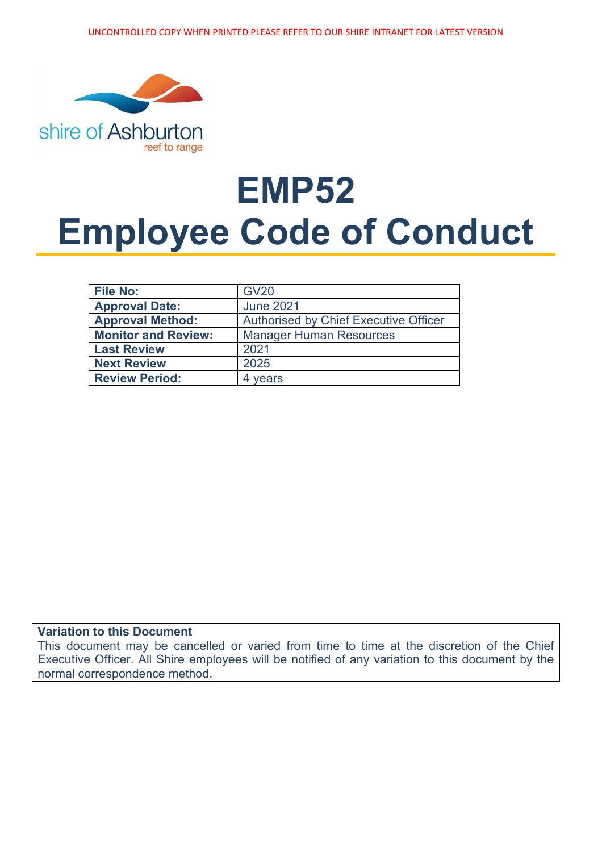

# **EMP52 Employee Code of Conduct**

| <b>File No:</b>            | <b>GV20</b>                           |
|----------------------------|---------------------------------------|
| <b>Approval Date:</b>      | <b>June 2021</b>                      |
| <b>Approval Method:</b>    | Authorised by Chief Executive Officer |
| <b>Monitor and Review:</b> | <b>Manager Human Resources</b>        |
| <b>Last Review</b>         | 2021                                  |
| <b>Next Review</b>         | 2025                                  |
| <b>Review Period:</b>      | years                                 |

#### **Variation to this Document**

This document may be cancelled or varied from time to time at the discretion of the Chief Executive Officer. All Shire employees will be notified of any variation to this document by the normal correspondence method.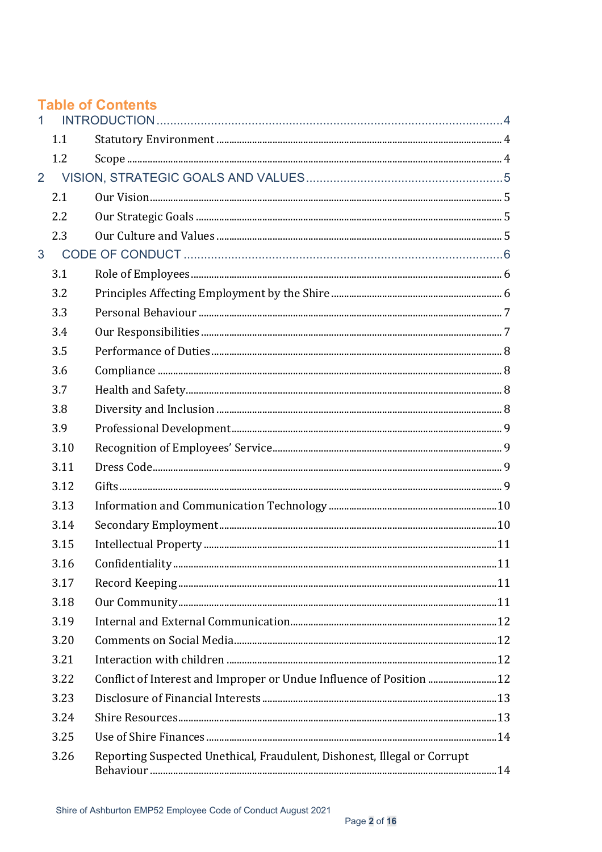|                |      | <b>Table of Contents</b>                                                 |  |
|----------------|------|--------------------------------------------------------------------------|--|
|                | 1.1  |                                                                          |  |
|                | 1.2  |                                                                          |  |
| $\overline{2}$ |      |                                                                          |  |
|                | 2.1  |                                                                          |  |
|                | 2.2  |                                                                          |  |
|                | 2.3  |                                                                          |  |
| 3              |      |                                                                          |  |
|                | 3.1  |                                                                          |  |
|                | 3.2  |                                                                          |  |
|                | 3.3  |                                                                          |  |
|                | 3.4  |                                                                          |  |
|                | 3.5  |                                                                          |  |
|                | 3.6  |                                                                          |  |
|                | 3.7  |                                                                          |  |
|                | 3.8  |                                                                          |  |
|                | 3.9  |                                                                          |  |
|                | 3.10 |                                                                          |  |
|                | 3.11 |                                                                          |  |
|                | 3.12 |                                                                          |  |
|                | 3.13 |                                                                          |  |
|                | 3.14 |                                                                          |  |
|                | 3.15 |                                                                          |  |
|                | 3.16 |                                                                          |  |
|                | 3.17 |                                                                          |  |
|                | 3.18 |                                                                          |  |
|                | 3.19 |                                                                          |  |
|                | 3.20 |                                                                          |  |
|                | 3.21 |                                                                          |  |
|                | 3.22 | Conflict of Interest and Improper or Undue Influence of Position  12     |  |
|                | 3.23 |                                                                          |  |
|                | 3.24 |                                                                          |  |
|                | 3.25 |                                                                          |  |
|                | 3.26 | Reporting Suspected Unethical, Fraudulent, Dishonest, Illegal or Corrupt |  |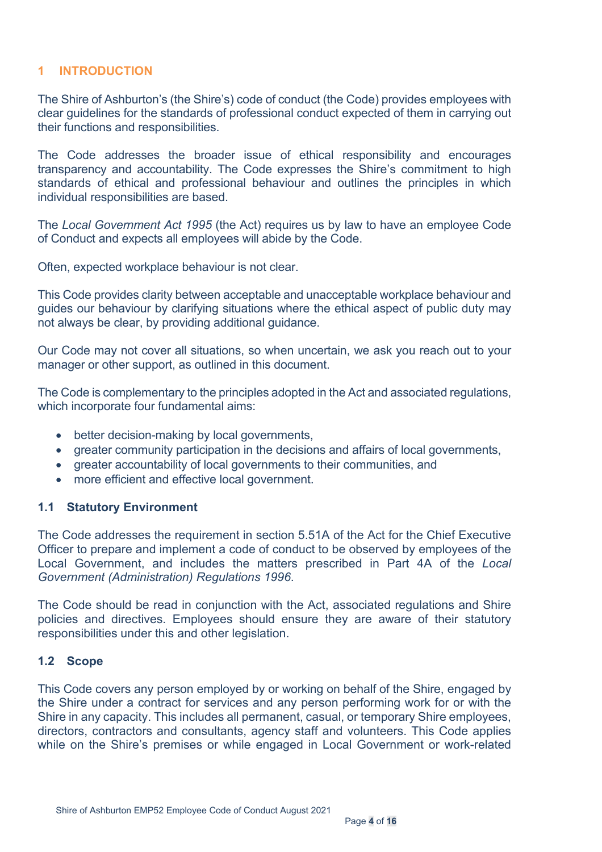## <span id="page-3-0"></span>**1 INTRODUCTION**

The Shire of Ashburton's (the Shire's) code of conduct (the Code) provides employees with clear guidelines for the standards of professional conduct expected of them in carrying out their functions and responsibilities.

The Code addresses the broader issue of ethical responsibility and encourages transparency and accountability. The Code expresses the Shire's commitment to high standards of ethical and professional behaviour and outlines the principles in which individual responsibilities are based.

The *Local Government Act 1995* (the Act) requires us by law to have an employee Code of Conduct and expects all employees will abide by the Code.

Often, expected workplace behaviour is not clear.

This Code provides clarity between acceptable and unacceptable workplace behaviour and guides our behaviour by clarifying situations where the ethical aspect of public duty may not always be clear, by providing additional guidance.

Our Code may not cover all situations, so when uncertain, we ask you reach out to your manager or other support, as outlined in this document.

The Code is complementary to the principles adopted in the Act and associated regulations, which incorporate four fundamental aims:

- better decision-making by local governments,
- greater community participation in the decisions and affairs of local governments,
- greater accountability of local governments to their communities, and
- more efficient and effective local government.

#### <span id="page-3-1"></span>**1.1 Statutory Environment**

The Code addresses the requirement in section 5.51A of the Act for the Chief Executive Officer to prepare and implement a code of conduct to be observed by employees of the Local Government, and includes the matters prescribed in Part 4A of the *Local Government (Administration) Regulations 1996*.

The Code should be read in conjunction with the Act, associated regulations and Shire policies and directives. Employees should ensure they are aware of their statutory responsibilities under this and other legislation.

#### <span id="page-3-2"></span>**1.2 Scope**

This Code covers any person employed by or working on behalf of the Shire, engaged by the Shire under a contract for services and any person performing work for or with the Shire in any capacity. This includes all permanent, casual, or temporary Shire employees, directors, contractors and consultants, agency staff and volunteers. This Code applies while on the Shire's premises or while engaged in Local Government or work-related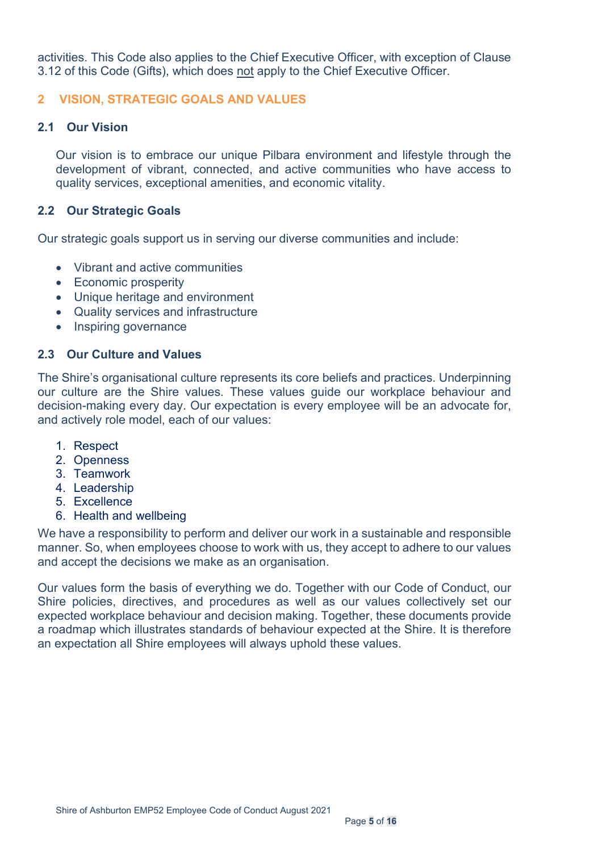activities. This Code also applies to the Chief Executive Officer, with exception of Clause 3.12 of this Code (Gifts), which does not apply to the Chief Executive Officer.

## <span id="page-4-0"></span>**2 VISION, STRATEGIC GOALS AND VALUES**

#### <span id="page-4-1"></span>**2.1 Our Vision**

Our vision is to embrace our unique Pilbara environment and lifestyle through the development of vibrant, connected, and active communities who have access to quality services, exceptional amenities, and economic vitality.

#### <span id="page-4-2"></span>**2.2 Our Strategic Goals**

Our strategic goals support us in serving our diverse communities and include:

- Vibrant and active communities
- Economic prosperity
- Unique heritage and environment
- Quality services and infrastructure
- Inspiring governance

#### <span id="page-4-3"></span>**2.3 Our Culture and Values**

The Shire's organisational culture represents its core beliefs and practices. Underpinning our culture are the Shire values. These values guide our workplace behaviour and decision-making every day. Our expectation is every employee will be an advocate for, and actively role model, each of our values:

- 1. Respect
- 2. Openness
- 3. Teamwork
- 4. Leadership
- 5. Excellence
- 6. Health and wellbeing

We have a responsibility to perform and deliver our work in a sustainable and responsible manner. So, when employees choose to work with us, they accept to adhere to our values and accept the decisions we make as an organisation.

Our values form the basis of everything we do. Together with our Code of Conduct, our Shire policies, directives, and procedures as well as our values collectively set our expected workplace behaviour and decision making. Together, these documents provide a roadmap which illustrates standards of behaviour expected at the Shire. It is therefore an expectation all Shire employees will always uphold these values.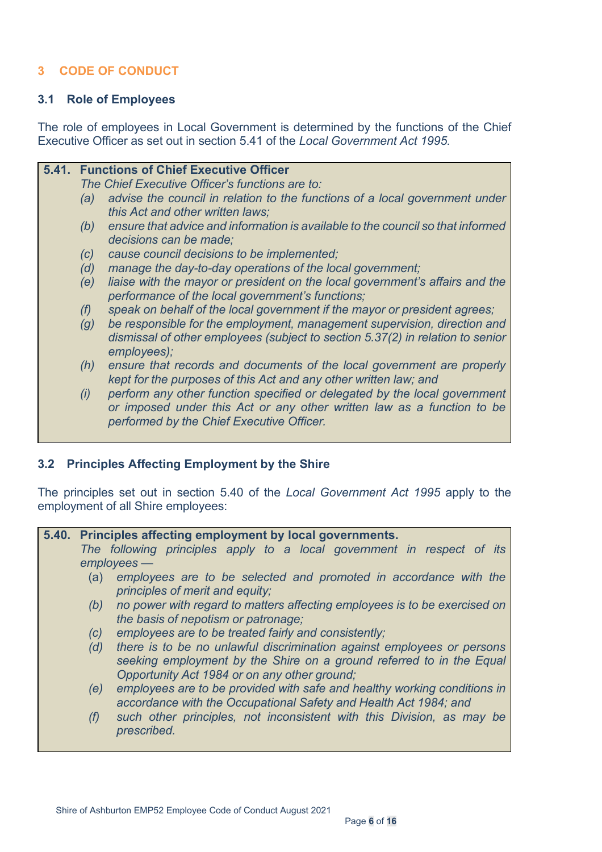# <span id="page-5-0"></span>**3 CODE OF CONDUCT**

#### <span id="page-5-1"></span>**3.1 Role of Employees**

The role of employees in Local Government is determined by the functions of the Chief Executive Officer as set out in section 5.41 of the *Local Government Act 1995.* 

| <b>5.41. Functions of Chief Executive Officer</b> |     |                                                                                                                                                                           |
|---------------------------------------------------|-----|---------------------------------------------------------------------------------------------------------------------------------------------------------------------------|
|                                                   |     | The Chief Executive Officer's functions are to:                                                                                                                           |
|                                                   | (a) | advise the council in relation to the functions of a local government under<br>this Act and other written laws;                                                           |
|                                                   | (b) | ensure that advice and information is available to the council so that informed<br>decisions can be made;                                                                 |
|                                                   | (c) | cause council decisions to be implemented;                                                                                                                                |
|                                                   | (d) | manage the day-to-day operations of the local government;                                                                                                                 |
|                                                   | (e) | liaise with the mayor or president on the local government's affairs and the<br>performance of the local government's functions;                                          |
|                                                   | (f) | speak on behalf of the local government if the mayor or president agrees;                                                                                                 |
|                                                   | (g) | be responsible for the employment, management supervision, direction and<br>dismissal of other employees (subject to section 5.37(2) in relation to senior<br>employees); |
|                                                   | (h) | ensure that records and documents of the local government are properly<br>kept for the purposes of this Act and any other written law; and                                |
|                                                   | (i) | perform any other function specified or delegated by the local government                                                                                                 |
|                                                   |     | or imposed under this Act or any other written law as a function to be<br>performed by the Chief Executive Officer.                                                       |

#### <span id="page-5-2"></span>**3.2 Principles Affecting Employment by the Shire**

The principles set out in section 5.40 of the *Local Government Act 1995* apply to the employment of all Shire employees:

#### **5.40. Principles affecting employment by local governments.**

*The following principles apply to a local government in respect of its employees —* 

- (a) *employees are to be selected and promoted in accordance with the principles of merit and equity;*
- *(b) no power with regard to matters affecting employees is to be exercised on the basis of nepotism or patronage;*
- *(c) employees are to be treated fairly and consistently;*
- *(d) there is to be no unlawful discrimination against employees or persons seeking employment by the Shire on a ground referred to in the Equal Opportunity Act 1984 or on any other ground;*
- *(e) employees are to be provided with safe and healthy working conditions in accordance with the Occupational Safety and Health Act 1984; and*
- *(f) such other principles, not inconsistent with this Division, as may be prescribed.*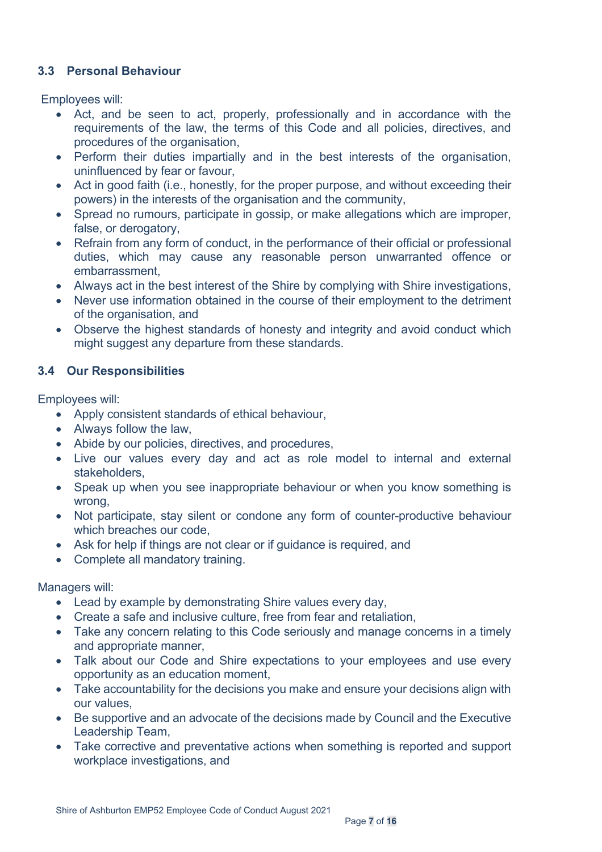## <span id="page-6-0"></span>**3.3 Personal Behaviour**

Employees will:

- Act, and be seen to act, properly, professionally and in accordance with the requirements of the law, the terms of this Code and all policies, directives, and procedures of the organisation,
- Perform their duties impartially and in the best interests of the organisation, uninfluenced by fear or favour,
- Act in good faith (i.e., honestly, for the proper purpose, and without exceeding their powers) in the interests of the organisation and the community,
- Spread no rumours, participate in gossip, or make allegations which are improper, false, or derogatory,
- Refrain from any form of conduct, in the performance of their official or professional duties, which may cause any reasonable person unwarranted offence or embarrassment,
- Always act in the best interest of the Shire by complying with Shire investigations,
- Never use information obtained in the course of their employment to the detriment of the organisation, and
- Observe the highest standards of honesty and integrity and avoid conduct which might suggest any departure from these standards.

# <span id="page-6-1"></span>**3.4 Our Responsibilities**

Employees will:

- Apply consistent standards of ethical behaviour,
- Always follow the law,
- Abide by our policies, directives, and procedures,
- Live our values every day and act as role model to internal and external stakeholders,
- Speak up when you see inappropriate behaviour or when you know something is wrong,
- Not participate, stay silent or condone any form of counter-productive behaviour which breaches our code,
- Ask for help if things are not clear or if guidance is required, and
- Complete all mandatory training.

Managers will:

- Lead by example by demonstrating Shire values every day,
- Create a safe and inclusive culture, free from fear and retaliation,
- Take any concern relating to this Code seriously and manage concerns in a timely and appropriate manner,
- Talk about our Code and Shire expectations to your employees and use every opportunity as an education moment,
- Take accountability for the decisions you make and ensure your decisions align with our values,
- Be supportive and an advocate of the decisions made by Council and the Executive Leadership Team,
- Take corrective and preventative actions when something is reported and support workplace investigations, and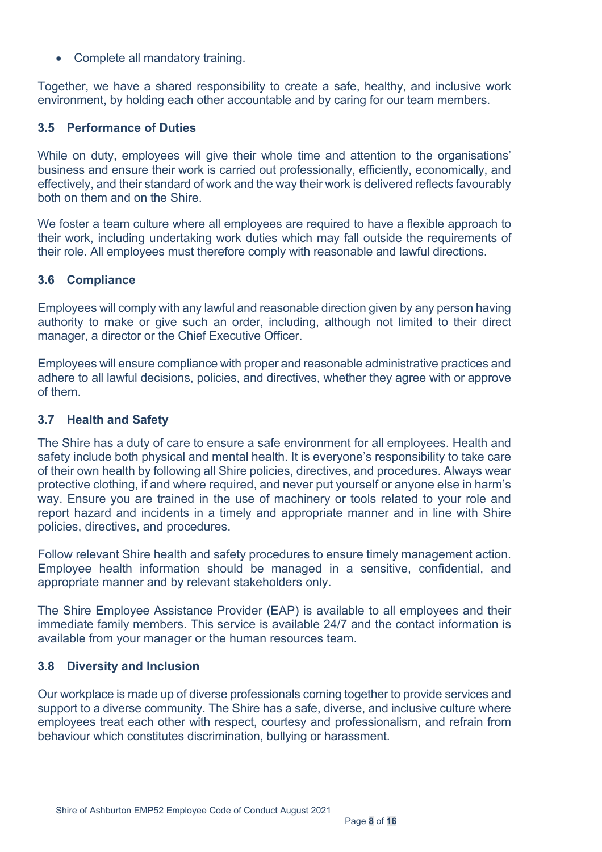• Complete all mandatory training.

Together, we have a shared responsibility to create a safe, healthy, and inclusive work environment, by holding each other accountable and by caring for our team members.

#### <span id="page-7-0"></span>**3.5 Performance of Duties**

While on duty, employees will give their whole time and attention to the organisations' business and ensure their work is carried out professionally, efficiently, economically, and effectively, and their standard of work and the way their work is delivered reflects favourably both on them and on the Shire.

We foster a team culture where all employees are required to have a flexible approach to their work, including undertaking work duties which may fall outside the requirements of their role. All employees must therefore comply with reasonable and lawful directions.

## <span id="page-7-1"></span>**3.6 Compliance**

Employees will comply with any lawful and reasonable direction given by any person having authority to make or give such an order, including, although not limited to their direct manager, a director or the Chief Executive Officer.

Employees will ensure compliance with proper and reasonable administrative practices and adhere to all lawful decisions, policies, and directives, whether they agree with or approve of them.

#### <span id="page-7-2"></span>**3.7 Health and Safety**

The Shire has a duty of care to ensure a safe environment for all employees. Health and safety include both physical and mental health. It is everyone's responsibility to take care of their own health by following all Shire policies, directives, and procedures. Always wear protective clothing, if and where required, and never put yourself or anyone else in harm's way. Ensure you are trained in the use of machinery or tools related to your role and report hazard and incidents in a timely and appropriate manner and in line with Shire policies, directives, and procedures.

Follow relevant Shire health and safety procedures to ensure timely management action. Employee health information should be managed in a sensitive, confidential, and appropriate manner and by relevant stakeholders only.

The Shire Employee Assistance Provider (EAP) is available to all employees and their immediate family members. This service is available 24/7 and the contact information is available from your manager or the human resources team.

#### <span id="page-7-3"></span>**3.8 Diversity and Inclusion**

Our workplace is made up of diverse professionals coming together to provide services and support to a diverse community. The Shire has a safe, diverse, and inclusive culture where employees treat each other with respect, courtesy and professionalism, and refrain from behaviour which constitutes discrimination, bullying or harassment.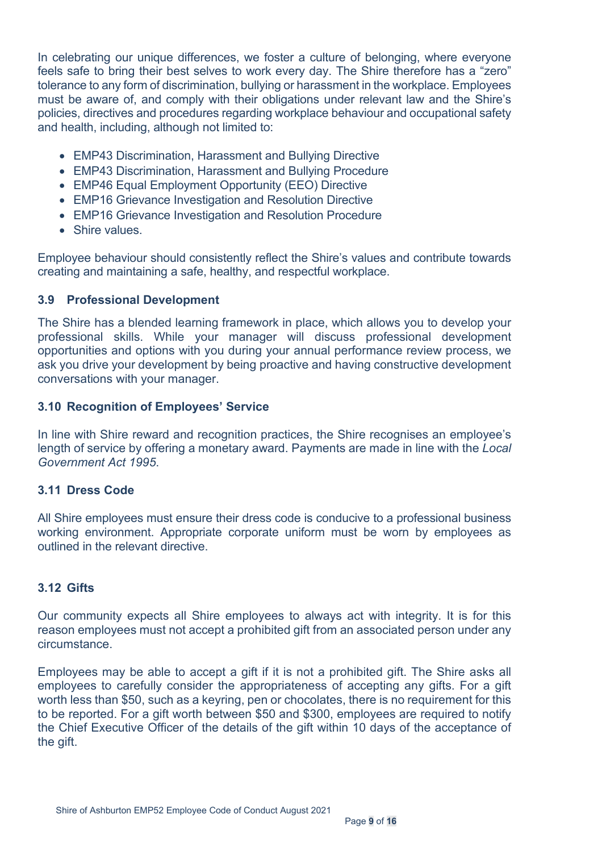In celebrating our unique differences, we foster a culture of belonging, where everyone feels safe to bring their best selves to work every day. The Shire therefore has a "zero" tolerance to any form of discrimination, bullying or harassment in the workplace. Employees must be aware of, and comply with their obligations under relevant law and the Shire's policies, directives and procedures regarding workplace behaviour and occupational safety and health, including, although not limited to:

- EMP43 Discrimination, Harassment and Bullying Directive
- EMP43 Discrimination, Harassment and Bullying Procedure
- EMP46 Equal Employment Opportunity (EEO) Directive
- EMP16 Grievance Investigation and Resolution Directive
- EMP16 Grievance Investigation and Resolution Procedure
- Shire values.

Employee behaviour should consistently reflect the Shire's values and contribute towards creating and maintaining a safe, healthy, and respectful workplace.

## <span id="page-8-0"></span>**3.9 Professional Development**

The Shire has a blended learning framework in place, which allows you to develop your professional skills. While your manager will discuss professional development opportunities and options with you during your annual performance review process, we ask you drive your development by being proactive and having constructive development conversations with your manager.

## <span id="page-8-1"></span>**3.10 Recognition of Employees' Service**

In line with Shire reward and recognition practices, the Shire recognises an employee's length of service by offering a monetary award. Payments are made in line with the *Local Government Act 1995*.

#### <span id="page-8-2"></span>**3.11 Dress Code**

All Shire employees must ensure their dress code is conducive to a professional business working environment. Appropriate corporate uniform must be worn by employees as outlined in the relevant directive.

#### <span id="page-8-3"></span>**3.12 Gifts**

Our community expects all Shire employees to always act with integrity. It is for this reason employees must not accept a prohibited gift from an associated person under any circumstance.

Employees may be able to accept a gift if it is not a prohibited gift. The Shire asks all employees to carefully consider the appropriateness of accepting any gifts. For a gift worth less than \$50, such as a keyring, pen or chocolates, there is no requirement for this to be reported. For a gift worth between \$50 and \$300, employees are required to notify the Chief Executive Officer of the details of the gift within 10 days of the acceptance of the gift.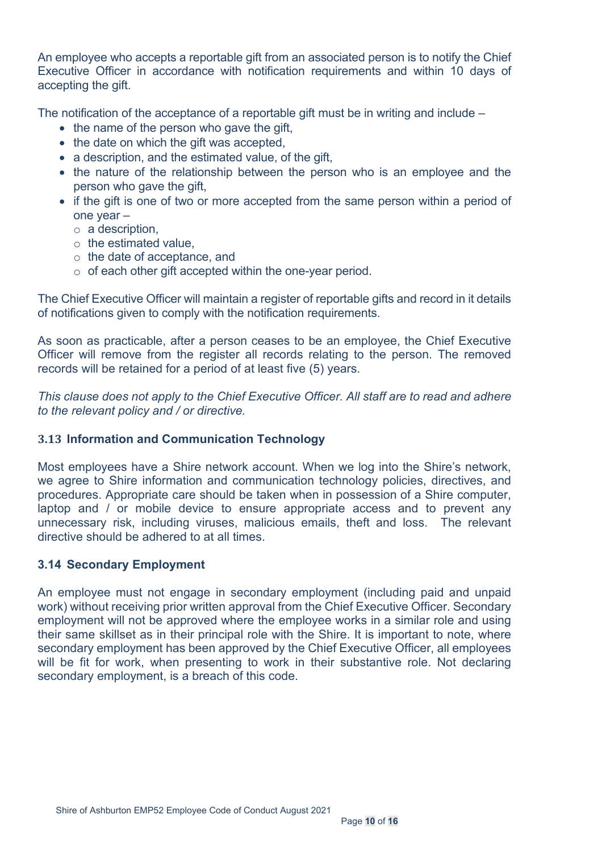An employee who accepts a reportable gift from an associated person is to notify the Chief Executive Officer in accordance with notification requirements and within 10 days of accepting the gift.

The notification of the acceptance of a reportable gift must be in writing and include –

- the name of the person who gave the gift,
- the date on which the gift was accepted,
- a description, and the estimated value, of the gift,
- the nature of the relationship between the person who is an employee and the person who gave the gift,
- if the gift is one of two or more accepted from the same person within a period of one year –
	- o a description,
	- $\circ$  the estimated value.
	- o the date of acceptance, and
	- o of each other gift accepted within the one-year period.

The Chief Executive Officer will maintain a register of reportable gifts and record in it details of notifications given to comply with the notification requirements.

As soon as practicable, after a person ceases to be an employee, the Chief Executive Officer will remove from the register all records relating to the person. The removed records will be retained for a period of at least five (5) years.

*This clause does not apply to the Chief Executive Officer. All staff are to read and adhere to the relevant policy and / or directive.*

#### <span id="page-9-0"></span>**3.13 Information and Communication Technology**

Most employees have a Shire network account. When we log into the Shire's network, we agree to Shire information and communication technology policies, directives, and procedures. Appropriate care should be taken when in possession of a Shire computer, laptop and / or mobile device to ensure appropriate access and to prevent any unnecessary risk, including viruses, malicious emails, theft and loss. The relevant directive should be adhered to at all times.

#### <span id="page-9-1"></span>**3.14 Secondary Employment**

An employee must not engage in secondary employment (including paid and unpaid work) without receiving prior written approval from the Chief Executive Officer. Secondary employment will not be approved where the employee works in a similar role and using their same skillset as in their principal role with the Shire. It is important to note, where secondary employment has been approved by the Chief Executive Officer, all employees will be fit for work, when presenting to work in their substantive role. Not declaring secondary employment, is a breach of this code.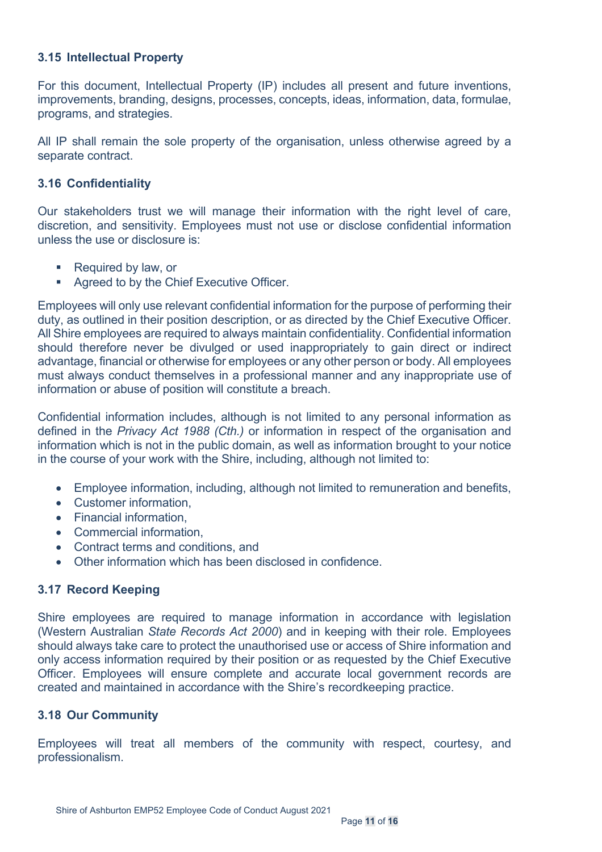## <span id="page-10-0"></span>**3.15 Intellectual Property**

For this document, Intellectual Property (IP) includes all present and future inventions, improvements, branding, designs, processes, concepts, ideas, information, data, formulae, programs, and strategies.

All IP shall remain the sole property of the organisation, unless otherwise agreed by a separate contract.

#### <span id="page-10-1"></span>**3.16 Confidentiality**

Our stakeholders trust we will manage their information with the right level of care, discretion, and sensitivity. Employees must not use or disclose confidential information unless the use or disclosure is:

- Required by law, or
- **Agreed to by the Chief Executive Officer.**

Employees will only use relevant confidential information for the purpose of performing their duty, as outlined in their position description, or as directed by the Chief Executive Officer. All Shire employees are required to always maintain confidentiality. Confidential information should therefore never be divulged or used inappropriately to gain direct or indirect advantage, financial or otherwise for employees or any other person or body. All employees must always conduct themselves in a professional manner and any inappropriate use of information or abuse of position will constitute a breach.

Confidential information includes, although is not limited to any personal information as defined in the *Privacy Act 1988 (Cth.)* or information in respect of the organisation and information which is not in the public domain, as well as information brought to your notice in the course of your work with the Shire, including, although not limited to:

- Employee information, including, although not limited to remuneration and benefits,
- Customer information,
- Financial information,
- Commercial information,
- Contract terms and conditions, and
- Other information which has been disclosed in confidence.

#### <span id="page-10-2"></span>**3.17 Record Keeping**

Shire employees are required to manage information in accordance with legislation (Western Australian *State Records Act 2000*) and in keeping with their role. Employees should always take care to protect the unauthorised use or access of Shire information and only access information required by their position or as requested by the Chief Executive Officer. Employees will ensure complete and accurate local government records are created and maintained in accordance with the Shire's recordkeeping practice.

#### <span id="page-10-3"></span>**3.18 Our Community**

Employees will treat all members of the community with respect, courtesy, and professionalism.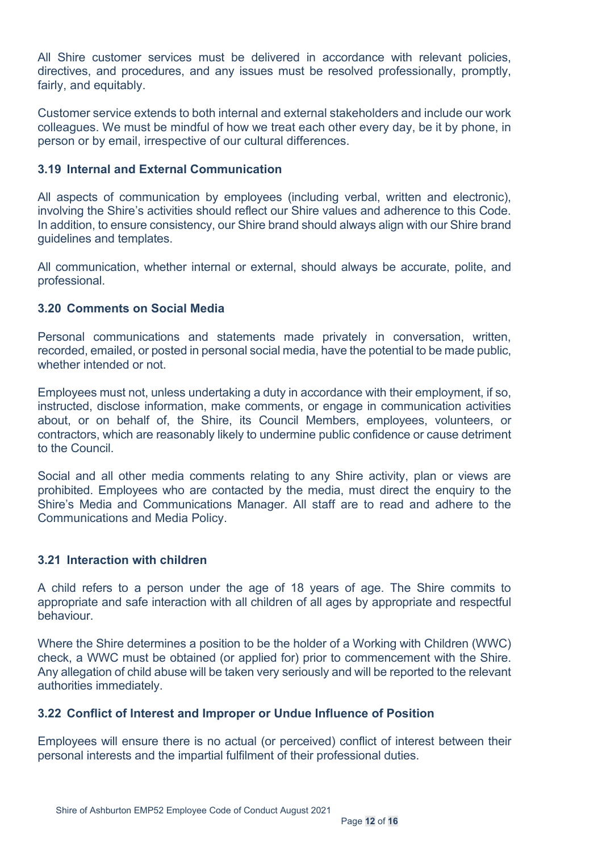All Shire customer services must be delivered in accordance with relevant policies, directives, and procedures, and any issues must be resolved professionally, promptly, fairly, and equitably.

Customer service extends to both internal and external stakeholders and include our work colleagues. We must be mindful of how we treat each other every day, be it by phone, in person or by email, irrespective of our cultural differences.

#### <span id="page-11-0"></span>**3.19 Internal and External Communication**

All aspects of communication by employees (including verbal, written and electronic), involving the Shire's activities should reflect our Shire values and adherence to this Code. In addition, to ensure consistency, our Shire brand should always align with our Shire brand guidelines and templates.

All communication, whether internal or external, should always be accurate, polite, and professional.

## <span id="page-11-1"></span>**3.20 Comments on Social Media**

Personal communications and statements made privately in conversation, written, recorded, emailed, or posted in personal social media, have the potential to be made public, whether intended or not.

Employees must not, unless undertaking a duty in accordance with their employment, if so, instructed, disclose information, make comments, or engage in communication activities about, or on behalf of, the Shire, its Council Members, employees, volunteers, or contractors, which are reasonably likely to undermine public confidence or cause detriment to the Council.

Social and all other media comments relating to any Shire activity, plan or views are prohibited. Employees who are contacted by the media, must direct the enquiry to the Shire's Media and Communications Manager. All staff are to read and adhere to the Communications and Media Policy.

#### <span id="page-11-2"></span>**3.21 Interaction with children**

A child refers to a person under the age of 18 years of age. The Shire commits to appropriate and safe interaction with all children of all ages by appropriate and respectful behaviour.

Where the Shire determines a position to be the holder of a Working with Children (WWC) check, a WWC must be obtained (or applied for) prior to commencement with the Shire. Any allegation of child abuse will be taken very seriously and will be reported to the relevant authorities immediately.

#### <span id="page-11-3"></span>**3.22 Conflict of Interest and Improper or Undue Influence of Position**

Employees will ensure there is no actual (or perceived) conflict of interest between their personal interests and the impartial fulfilment of their professional duties.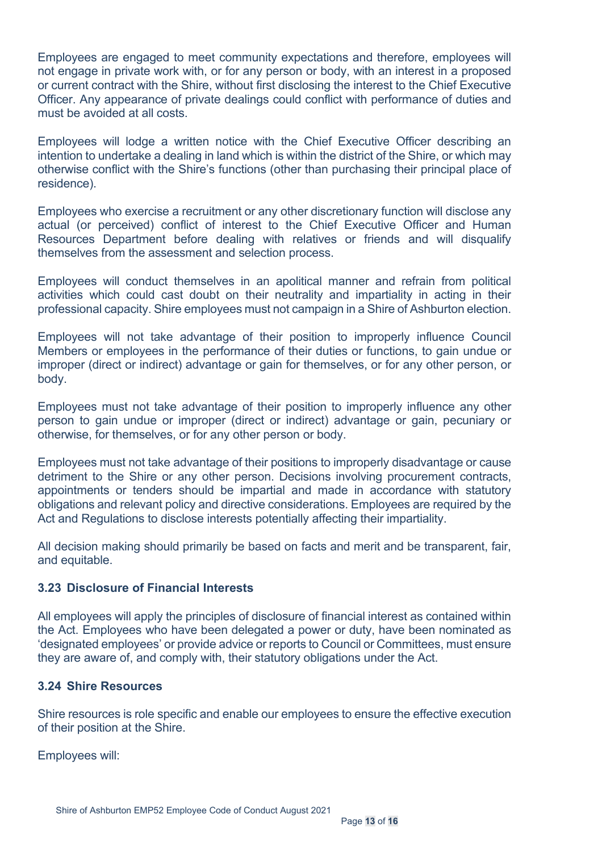Employees are engaged to meet community expectations and therefore, employees will not engage in private work with, or for any person or body, with an interest in a proposed or current contract with the Shire, without first disclosing the interest to the Chief Executive Officer. Any appearance of private dealings could conflict with performance of duties and must be avoided at all costs.

Employees will lodge a written notice with the Chief Executive Officer describing an intention to undertake a dealing in land which is within the district of the Shire, or which may otherwise conflict with the Shire's functions (other than purchasing their principal place of residence).

Employees who exercise a recruitment or any other discretionary function will disclose any actual (or perceived) conflict of interest to the Chief Executive Officer and Human Resources Department before dealing with relatives or friends and will disqualify themselves from the assessment and selection process.

Employees will conduct themselves in an apolitical manner and refrain from political activities which could cast doubt on their neutrality and impartiality in acting in their professional capacity. Shire employees must not campaign in a Shire of Ashburton election.

Employees will not take advantage of their position to improperly influence Council Members or employees in the performance of their duties or functions, to gain undue or improper (direct or indirect) advantage or gain for themselves, or for any other person, or body.

Employees must not take advantage of their position to improperly influence any other person to gain undue or improper (direct or indirect) advantage or gain, pecuniary or otherwise, for themselves, or for any other person or body.

Employees must not take advantage of their positions to improperly disadvantage or cause detriment to the Shire or any other person. Decisions involving procurement contracts, appointments or tenders should be impartial and made in accordance with statutory obligations and relevant policy and directive considerations. Employees are required by the Act and Regulations to disclose interests potentially affecting their impartiality.

All decision making should primarily be based on facts and merit and be transparent, fair, and equitable.

#### <span id="page-12-0"></span>**3.23 Disclosure of Financial Interests**

All employees will apply the principles of disclosure of financial interest as contained within the Act. Employees who have been delegated a power or duty, have been nominated as 'designated employees' or provide advice or reports to Council or Committees, must ensure they are aware of, and comply with, their statutory obligations under the Act.

#### <span id="page-12-1"></span>**3.24 Shire Resources**

Shire resources is role specific and enable our employees to ensure the effective execution of their position at the Shire.

Employees will: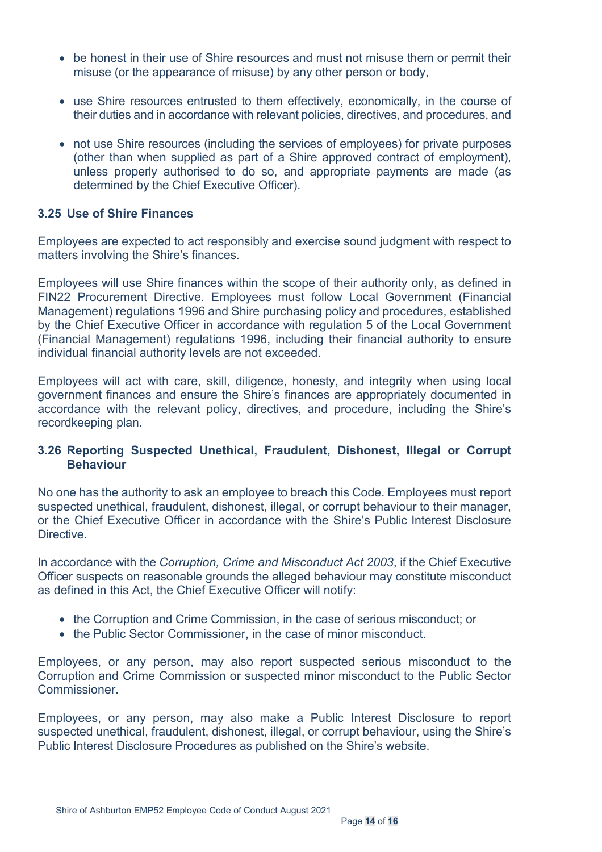- be honest in their use of Shire resources and must not misuse them or permit their misuse (or the appearance of misuse) by any other person or body,
- use Shire resources entrusted to them effectively, economically, in the course of their duties and in accordance with relevant policies, directives, and procedures, and
- not use Shire resources (including the services of employees) for private purposes (other than when supplied as part of a Shire approved contract of employment), unless properly authorised to do so, and appropriate payments are made (as determined by the Chief Executive Officer).

#### <span id="page-13-0"></span>**3.25 Use of Shire Finances**

Employees are expected to act responsibly and exercise sound judgment with respect to matters involving the Shire's finances.

Employees will use Shire finances within the scope of their authority only, as defined in FIN22 Procurement Directive. Employees must follow Local Government (Financial Management) regulations 1996 and Shire purchasing policy and procedures, established by the Chief Executive Officer in accordance with regulation 5 of the Local Government (Financial Management) regulations 1996, including their financial authority to ensure individual financial authority levels are not exceeded.

Employees will act with care, skill, diligence, honesty, and integrity when using local government finances and ensure the Shire's finances are appropriately documented in accordance with the relevant policy, directives, and procedure, including the Shire's recordkeeping plan.

#### <span id="page-13-1"></span>**3.26 Reporting Suspected Unethical, Fraudulent, Dishonest, Illegal or Corrupt Behaviour**

No one has the authority to ask an employee to breach this Code. Employees must report suspected unethical, fraudulent, dishonest, illegal, or corrupt behaviour to their manager, or the Chief Executive Officer in accordance with the Shire's Public Interest Disclosure Directive.

In accordance with the *Corruption, Crime and Misconduct Act 2003*, if the Chief Executive Officer suspects on reasonable grounds the alleged behaviour may constitute misconduct as defined in this Act, the Chief Executive Officer will notify:

- the Corruption and Crime Commission, in the case of serious misconduct; or
- the Public Sector Commissioner, in the case of minor misconduct.

Employees, or any person, may also report suspected serious misconduct to the Corruption and Crime Commission or suspected minor misconduct to the Public Sector Commissioner.

Employees, or any person, may also make a Public Interest Disclosure to report suspected unethical, fraudulent, dishonest, illegal, or corrupt behaviour, using the Shire's Public Interest Disclosure Procedures as published on the Shire's website.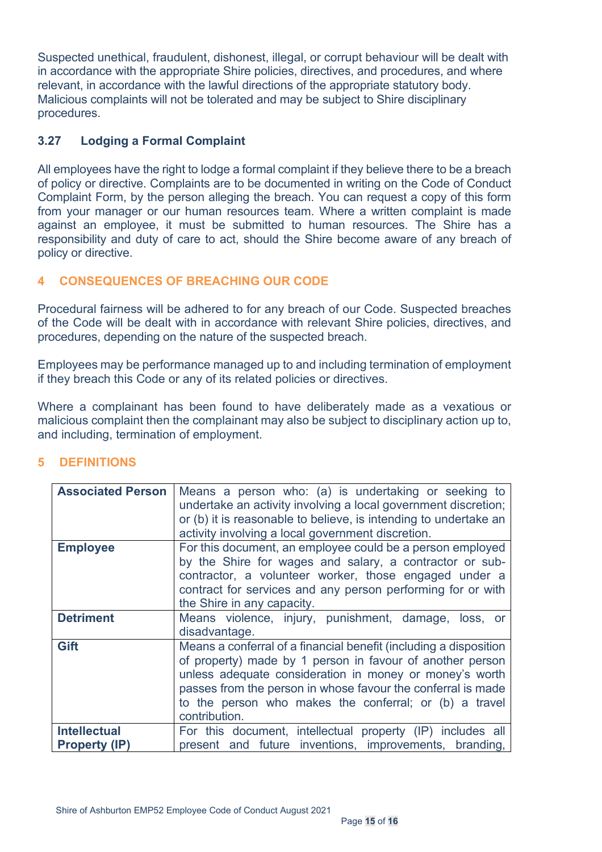Suspected unethical, fraudulent, dishonest, illegal, or corrupt behaviour will be dealt with in accordance with the appropriate Shire policies, directives, and procedures, and where relevant, in accordance with the lawful directions of the appropriate statutory body. Malicious complaints will not be tolerated and may be subject to Shire disciplinary procedures.

## <span id="page-14-0"></span>**3.27 Lodging a Formal Complaint**

All employees have the right to lodge a formal complaint if they believe there to be a breach of policy or directive. Complaints are to be documented in writing on the Code of Conduct Complaint Form, by the person alleging the breach. You can request a copy of this form from your manager or our human resources team. Where a written complaint is made against an employee, it must be submitted to human resources. The Shire has a responsibility and duty of care to act, should the Shire become aware of any breach of policy or directive.

# <span id="page-14-1"></span>**4 CONSEQUENCES OF BREACHING OUR CODE**

Procedural fairness will be adhered to for any breach of our Code. Suspected breaches of the Code will be dealt with in accordance with relevant Shire policies, directives, and procedures, depending on the nature of the suspected breach.

Employees may be performance managed up to and including termination of employment if they breach this Code or any of its related policies or directives.

Where a complainant has been found to have deliberately made as a vexatious or malicious complaint then the complainant may also be subject to disciplinary action up to, and including, termination of employment.

| <b>Associated Person</b>                    | Means a person who: (a) is undertaking or seeking to<br>undertake an activity involving a local government discretion;<br>or (b) it is reasonable to believe, is intending to undertake an<br>activity involving a local government discretion.                                                                                      |
|---------------------------------------------|--------------------------------------------------------------------------------------------------------------------------------------------------------------------------------------------------------------------------------------------------------------------------------------------------------------------------------------|
| <b>Employee</b>                             | For this document, an employee could be a person employed<br>by the Shire for wages and salary, a contractor or sub-<br>contractor, a volunteer worker, those engaged under a<br>contract for services and any person performing for or with<br>the Shire in any capacity.                                                           |
| <b>Detriment</b>                            | Means violence, injury, punishment, damage, loss, or<br>disadvantage.                                                                                                                                                                                                                                                                |
| Gift                                        | Means a conferral of a financial benefit (including a disposition<br>of property) made by 1 person in favour of another person<br>unless adequate consideration in money or money's worth<br>passes from the person in whose favour the conferral is made<br>to the person who makes the conferral; or (b) a travel<br>contribution. |
| <b>Intellectual</b><br><b>Property (IP)</b> | For this document, intellectual property (IP) includes all<br>present and future inventions, improvements, branding,                                                                                                                                                                                                                 |

# <span id="page-14-2"></span>**5 DEFINITIONS**